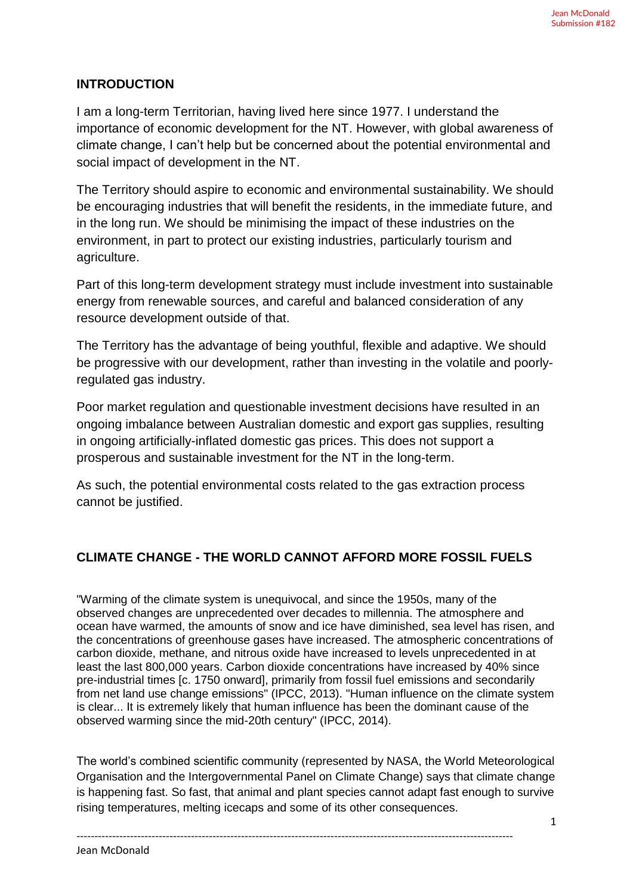# **INTRODUCTION**

I am a long-term Territorian, having lived here since 1977. I understand the importance of economic development for the NT. However, with global awareness of climate change, I can't help but be concerned about the potential environmental and social impact of development in the NT.

The Territory should aspire to economic and environmental sustainability. We should be encouraging industries that will benefit the residents, in the immediate future, and in the long run. We should be minimising the impact of these industries on the environment, in part to protect our existing industries, particularly tourism and agriculture.

Part of this long-term development strategy must include investment into sustainable energy from renewable sources, and careful and balanced consideration of any resource development outside of that.

The Territory has the advantage of being youthful, flexible and adaptive. We should be progressive with our development, rather than investing in the volatile and poorlyregulated gas industry.

Poor market regulation and questionable investment decisions have resulted in an ongoing imbalance between Australian domestic and export gas supplies, resulting in ongoing artificially-inflated domestic gas prices. This does not support a prosperous and sustainable investment for the NT in the long-term.

As such, the potential environmental costs related to the gas extraction process cannot be justified.

# **CLIMATE CHANGE - THE WORLD CANNOT AFFORD MORE FOSSIL FUELS**

"Warming of the climate system is unequivocal, and since the 1950s, many of the observed changes are unprecedented over decades to millennia. The atmosphere and ocean have warmed, the amounts of snow and ice have diminished, sea level has risen, and the concentrations of greenhouse gases have increased. The atmospheric concentrations of carbon dioxide, methane, and nitrous oxide have increased to levels unprecedented in at least the last 800,000 years. Carbon dioxide concentrations have increased by 40% since pre-industrial times [c. 1750 onward], primarily from fossil fuel emissions and secondarily from net land use change emissions" (IPCC, 2013). "Human influence on the climate system is clear... It is extremely likely that human influence has been the dominant cause of the observed warming since the mid-20th century" (IPCC, 2014).

The world's combined scientific community (represented by NASA, the World Meteorological Organisation and the Intergovernmental Panel on Climate Change) says that climate change is happening fast. So fast, that animal and plant species cannot adapt fast enough to survive rising temperatures, melting icecaps and some of its other consequences.

--------------------------------------------------------------------------------------------------------------------------

Jean McDonald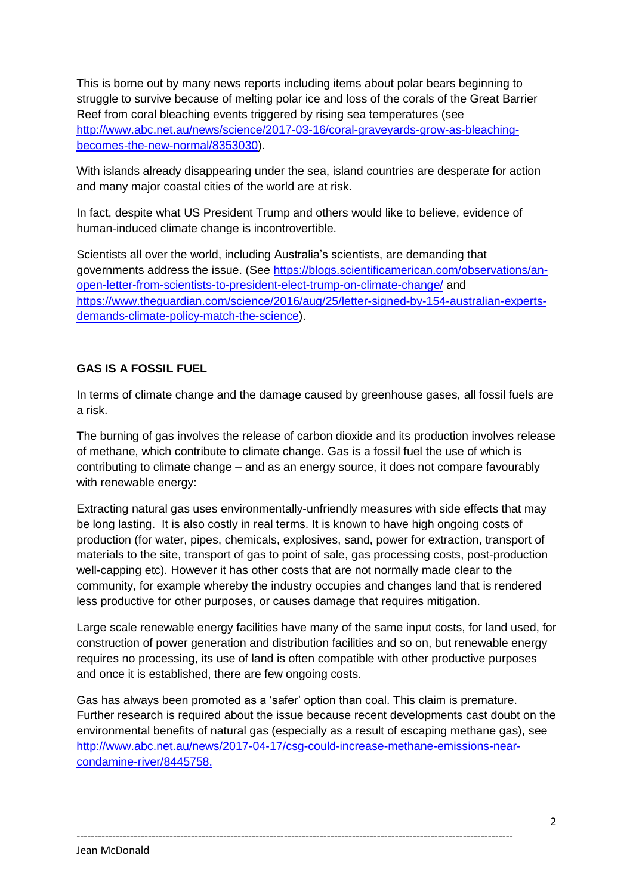This is borne out by many news reports including items about polar bears beginning to struggle to survive because of melting polar ice and loss of the corals of the Great Barrier Reef from coral bleaching events triggered by rising sea temperatures (see [http://www.abc.net.au/news/science/2017-03-16/coral-graveyards-grow-as-bleaching](http://www.abc.net.au/news/science/2017-03-16/coral-graveyards-grow-as-bleaching-becomes-the-new-normal/8353030)[becomes-the-new-normal/8353030\)](http://www.abc.net.au/news/science/2017-03-16/coral-graveyards-grow-as-bleaching-becomes-the-new-normal/8353030).

With islands already disappearing under the sea, island countries are desperate for action and many major coastal cities of the world are at risk.

In fact, despite what US President Trump and others would like to believe, evidence of human-induced climate change is incontrovertible.

Scientists all over the world, including Australia's scientists, are demanding that governments address the issue. (See [https://blogs.scientificamerican.com/observations/an](https://blogs.scientificamerican.com/observations/an-open-letter-from-scientists-to-president-elect-trump-on-climate-change/)[open-letter-from-scientists-to-president-elect-trump-on-climate-change/](https://blogs.scientificamerican.com/observations/an-open-letter-from-scientists-to-president-elect-trump-on-climate-change/) and [https://www.theguardian.com/science/2016/aug/25/letter-signed-by-154-australian-experts](https://www.theguardian.com/science/2016/aug/25/letter-signed-by-154-australian-experts-demands-climate-policy-match-the-science)[demands-climate-policy-match-the-science\)](https://www.theguardian.com/science/2016/aug/25/letter-signed-by-154-australian-experts-demands-climate-policy-match-the-science).

## **GAS IS A FOSSIL FUEL**

In terms of climate change and the damage caused by greenhouse gases, all fossil fuels are a risk.

The burning of gas involves the release of carbon dioxide and its production involves release of methane, which contribute to climate change. Gas is a fossil fuel the use of which is contributing to climate change – and as an energy source, it does not compare favourably with renewable energy:

Extracting natural gas uses environmentally-unfriendly measures with side effects that may be long lasting. It is also costly in real terms. It is known to have high ongoing costs of production (for water, pipes, chemicals, explosives, sand, power for extraction, transport of materials to the site, transport of gas to point of sale, gas processing costs, post-production well-capping etc). However it has other costs that are not normally made clear to the community, for example whereby the industry occupies and changes land that is rendered less productive for other purposes, or causes damage that requires mitigation.

Large scale renewable energy facilities have many of the same input costs, for land used, for construction of power generation and distribution facilities and so on, but renewable energy requires no processing, its use of land is often compatible with other productive purposes and once it is established, there are few ongoing costs.

Gas has always been promoted as a 'safer' option than coal. This claim is premature. Further research is required about the issue because recent developments cast doubt on the environmental benefits of natural gas (especially as a result of escaping methane gas), see [http://www.abc.net.au/news/2017-04-17/csg-could-increase-methane-emissions-near](http://www.abc.net.au/news/2017-04-17/csg-could-increase-methane-emissions-near-condamine-river/8445758)[condamine-river/8445758.](http://www.abc.net.au/news/2017-04-17/csg-could-increase-methane-emissions-near-condamine-river/8445758)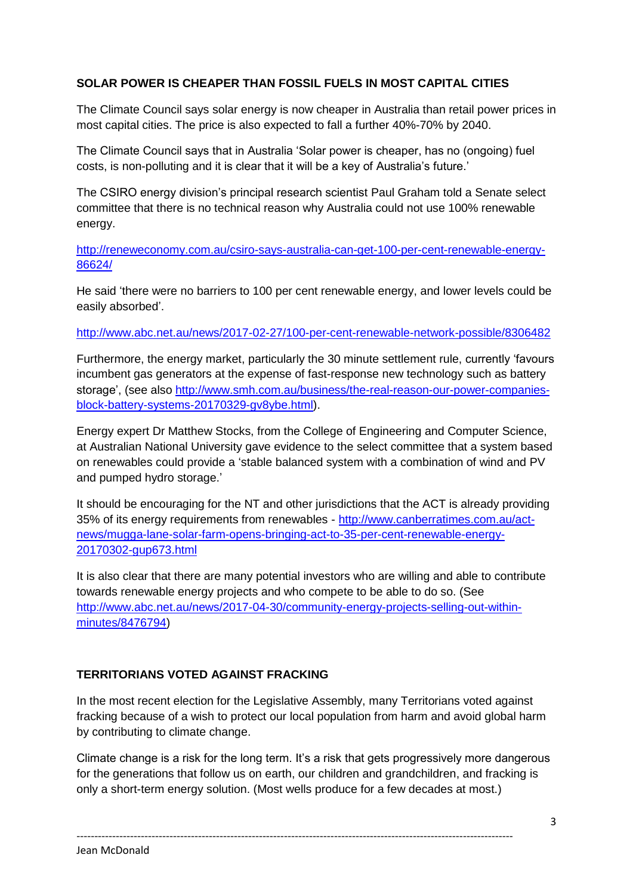### **SOLAR POWER IS CHEAPER THAN FOSSIL FUELS IN MOST CAPITAL CITIES**

The Climate Council says solar energy is now cheaper in Australia than retail power prices in most capital cities. The price is also expected to fall a further 40%-70% by 2040.

The Climate Council says that in Australia 'Solar power is cheaper, has no (ongoing) fuel costs, is non-polluting and it is clear that it will be a key of Australia's future.'

The CSIRO energy division's principal research scientist Paul Graham told a Senate select committee that there is no technical reason why Australia could not use 100% renewable energy.

[http://reneweconomy.com.au/csiro-says-australia-can-get-100-per-cent-renewable-energy-](http://reneweconomy.com.au/csiro-says-australia-can-get-100-per-cent-renewable-energy-86624/)[86624/](http://reneweconomy.com.au/csiro-says-australia-can-get-100-per-cent-renewable-energy-86624/)

He said 'there were no barriers to 100 per cent renewable energy, and lower levels could be easily absorbed'.

<http://www.abc.net.au/news/2017-02-27/100-per-cent-renewable-network-possible/8306482>

Furthermore, the energy market, particularly the 30 minute settlement rule, currently 'favours incumbent gas generators at the expense of fast-response new technology such as battery storage', (see also [http://www.smh.com.au/business/the-real-reason-our-power-companies](http://www.smh.com.au/business/the-real-reason-our-power-companies-block-battery-systems-20170329-gv8ybe.html)[block-battery-systems-20170329-gv8ybe.html\)](http://www.smh.com.au/business/the-real-reason-our-power-companies-block-battery-systems-20170329-gv8ybe.html).

Energy expert Dr Matthew Stocks, from the College of Engineering and Computer Science, at Australian National University gave evidence to the select committee that a system based on renewables could provide a 'stable balanced system with a combination of wind and PV and pumped hydro storage.'

It should be encouraging for the NT and other jurisdictions that the ACT is already providing 35% of its energy requirements from renewables - [http://www.canberratimes.com.au/act](http://www.canberratimes.com.au/act-news/mugga-lane-solar-farm-opens-bringing-act-to-35-per-cent-renewable-energy-20170302-gup673.html)[news/mugga-lane-solar-farm-opens-bringing-act-to-35-per-cent-renewable-energy-](http://www.canberratimes.com.au/act-news/mugga-lane-solar-farm-opens-bringing-act-to-35-per-cent-renewable-energy-20170302-gup673.html)[20170302-gup673.html](http://www.canberratimes.com.au/act-news/mugga-lane-solar-farm-opens-bringing-act-to-35-per-cent-renewable-energy-20170302-gup673.html)

It is also clear that there are many potential investors who are willing and able to contribute towards renewable energy projects and who compete to be able to do so. (See [http://www.abc.net.au/news/2017-04-30/community-energy-projects-selling-out-within](http://www.abc.net.au/news/2017-04-30/community-energy-projects-selling-out-within-minutes/8476794)[minutes/8476794\)](http://www.abc.net.au/news/2017-04-30/community-energy-projects-selling-out-within-minutes/8476794)

#### **TERRITORIANS VOTED AGAINST FRACKING**

In the most recent election for the Legislative Assembly, many Territorians voted against fracking because of a wish to protect our local population from harm and avoid global harm by contributing to climate change.

Climate change is a risk for the long term. It's a risk that gets progressively more dangerous for the generations that follow us on earth, our children and grandchildren, and fracking is only a short-term energy solution. (Most wells produce for a few decades at most.)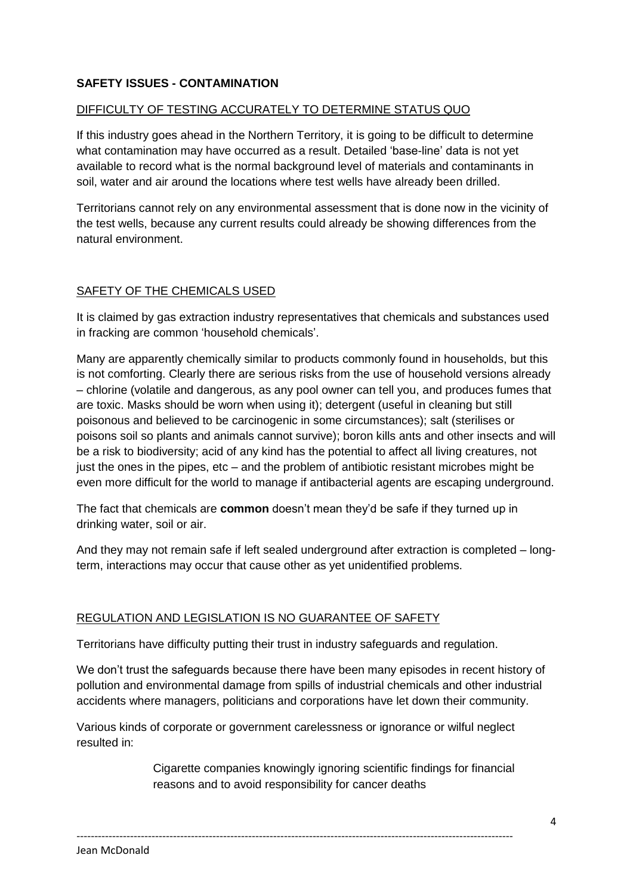### **SAFETY ISSUES - CONTAMINATION**

#### DIFFICULTY OF TESTING ACCURATELY TO DETERMINE STATUS QUO

If this industry goes ahead in the Northern Territory, it is going to be difficult to determine what contamination may have occurred as a result. Detailed 'base-line' data is not yet available to record what is the normal background level of materials and contaminants in soil, water and air around the locations where test wells have already been drilled.

Territorians cannot rely on any environmental assessment that is done now in the vicinity of the test wells, because any current results could already be showing differences from the natural environment.

#### SAFETY OF THE CHEMICALS USED

It is claimed by gas extraction industry representatives that chemicals and substances used in fracking are common 'household chemicals'.

Many are apparently chemically similar to products commonly found in households, but this is not comforting. Clearly there are serious risks from the use of household versions already – chlorine (volatile and dangerous, as any pool owner can tell you, and produces fumes that are toxic. Masks should be worn when using it); detergent (useful in cleaning but still poisonous and believed to be carcinogenic in some circumstances); salt (sterilises or poisons soil so plants and animals cannot survive); boron kills ants and other insects and will be a risk to biodiversity; acid of any kind has the potential to affect all living creatures, not just the ones in the pipes, etc – and the problem of antibiotic resistant microbes might be even more difficult for the world to manage if antibacterial agents are escaping underground.

The fact that chemicals are **common** doesn't mean they'd be safe if they turned up in drinking water, soil or air.

And they may not remain safe if left sealed underground after extraction is completed – longterm, interactions may occur that cause other as yet unidentified problems.

#### REGULATION AND LEGISLATION IS NO GUARANTEE OF SAFETY

Territorians have difficulty putting their trust in industry safeguards and regulation.

We don't trust the safeguards because there have been many episodes in recent history of pollution and environmental damage from spills of industrial chemicals and other industrial accidents where managers, politicians and corporations have let down their community.

Various kinds of corporate or government carelessness or ignorance or wilful neglect resulted in:

--------------------------------------------------------------------------------------------------------------------------

Cigarette companies knowingly ignoring scientific findings for financial reasons and to avoid responsibility for cancer deaths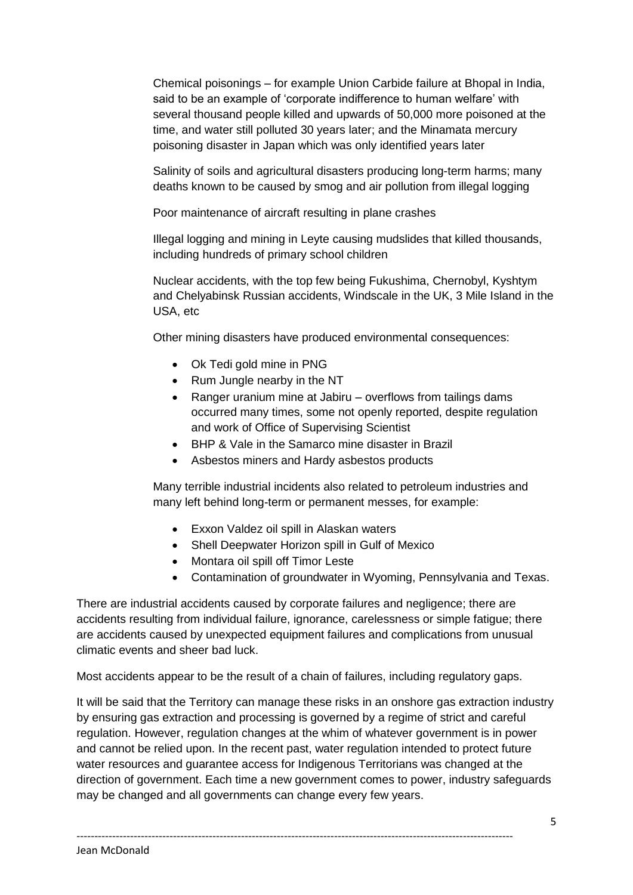Chemical poisonings – for example Union Carbide failure at Bhopal in India, said to be an example of 'corporate indifference to human welfare' with several thousand people killed and upwards of 50,000 more poisoned at the time, and water still polluted 30 years later; and the Minamata mercury poisoning disaster in Japan which was only identified years later

Salinity of soils and agricultural disasters producing long-term harms; many deaths known to be caused by smog and air pollution from illegal logging

Poor maintenance of aircraft resulting in plane crashes

Illegal logging and mining in Leyte causing mudslides that killed thousands, including hundreds of primary school children

Nuclear accidents, with the top few being Fukushima, Chernobyl, Kyshtym and Chelyabinsk Russian accidents, Windscale in the UK, 3 Mile Island in the USA, etc

Other mining disasters have produced environmental consequences:

- Ok Tedi gold mine in PNG
- Rum Jungle nearby in the NT
- Ranger uranium mine at Jabiru overflows from tailings dams occurred many times, some not openly reported, despite regulation and work of Office of Supervising Scientist
- BHP & Vale in the Samarco mine disaster in Brazil
- Asbestos miners and Hardy asbestos products

Many terrible industrial incidents also related to petroleum industries and many left behind long-term or permanent messes, for example:

- Exxon Valdez oil spill in Alaskan waters
- Shell Deepwater Horizon spill in Gulf of Mexico
- Montara oil spill off Timor Leste
- Contamination of groundwater in Wyoming, Pennsylvania and Texas.

There are industrial accidents caused by corporate failures and negligence; there are accidents resulting from individual failure, ignorance, carelessness or simple fatigue; there are accidents caused by unexpected equipment failures and complications from unusual climatic events and sheer bad luck.

Most accidents appear to be the result of a chain of failures, including regulatory gaps.

--------------------------------------------------------------------------------------------------------------------------

It will be said that the Territory can manage these risks in an onshore gas extraction industry by ensuring gas extraction and processing is governed by a regime of strict and careful regulation. However, regulation changes at the whim of whatever government is in power and cannot be relied upon. In the recent past, water regulation intended to protect future water resources and guarantee access for Indigenous Territorians was changed at the direction of government. Each time a new government comes to power, industry safeguards may be changed and all governments can change every few years.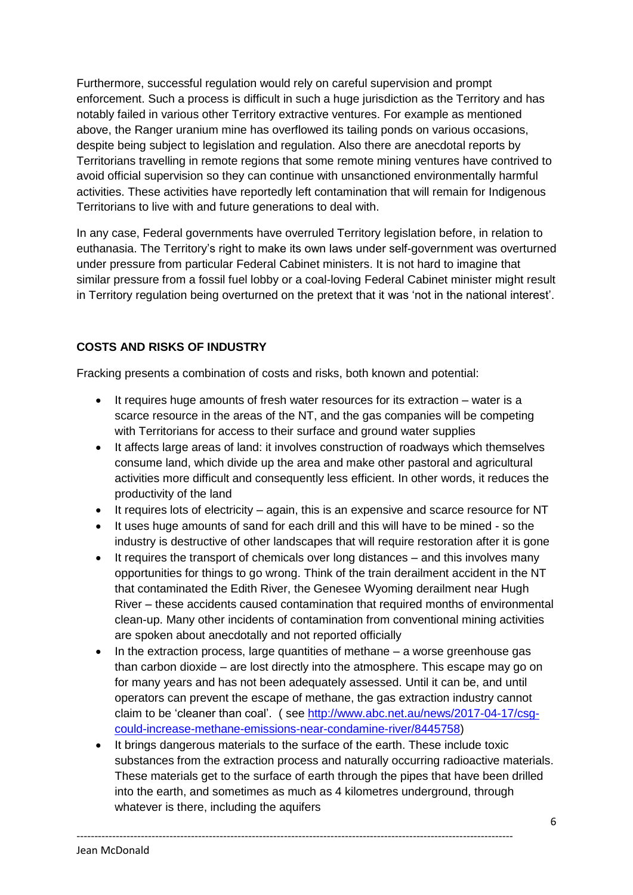Furthermore, successful regulation would rely on careful supervision and prompt enforcement. Such a process is difficult in such a huge jurisdiction as the Territory and has notably failed in various other Territory extractive ventures. For example as mentioned above, the Ranger uranium mine has overflowed its tailing ponds on various occasions, despite being subject to legislation and regulation. Also there are anecdotal reports by Territorians travelling in remote regions that some remote mining ventures have contrived to avoid official supervision so they can continue with unsanctioned environmentally harmful activities. These activities have reportedly left contamination that will remain for Indigenous Territorians to live with and future generations to deal with.

In any case, Federal governments have overruled Territory legislation before, in relation to euthanasia. The Territory's right to make its own laws under self-government was overturned under pressure from particular Federal Cabinet ministers. It is not hard to imagine that similar pressure from a fossil fuel lobby or a coal-loving Federal Cabinet minister might result in Territory regulation being overturned on the pretext that it was 'not in the national interest'.

# **COSTS AND RISKS OF INDUSTRY**

Fracking presents a combination of costs and risks, both known and potential:

- It requires huge amounts of fresh water resources for its extraction water is a scarce resource in the areas of the NT, and the gas companies will be competing with Territorians for access to their surface and ground water supplies
- It affects large areas of land: it involves construction of roadways which themselves consume land, which divide up the area and make other pastoral and agricultural activities more difficult and consequently less efficient. In other words, it reduces the productivity of the land
- It requires lots of electricity again, this is an expensive and scarce resource for NT
- It uses huge amounts of sand for each drill and this will have to be mined so the industry is destructive of other landscapes that will require restoration after it is gone
- It requires the transport of chemicals over long distances and this involves many opportunities for things to go wrong. Think of the train derailment accident in the NT that contaminated the Edith River, the Genesee Wyoming derailment near Hugh River – these accidents caused contamination that required months of environmental clean-up. Many other incidents of contamination from conventional mining activities are spoken about anecdotally and not reported officially
- In the extraction process, large quantities of methane a worse greenhouse gas than carbon dioxide – are lost directly into the atmosphere. This escape may go on for many years and has not been adequately assessed. Until it can be, and until operators can prevent the escape of methane, the gas extraction industry cannot claim to be 'cleaner than coal'. ( see [http://www.abc.net.au/news/2017-04-17/csg](http://www.abc.net.au/news/2017-04-17/csg-could-increase-methane-emissions-near-condamine-river/8445758)[could-increase-methane-emissions-near-condamine-river/8445758\)](http://www.abc.net.au/news/2017-04-17/csg-could-increase-methane-emissions-near-condamine-river/8445758)
- It brings dangerous materials to the surface of the earth. These include toxic substances from the extraction process and naturally occurring radioactive materials. These materials get to the surface of earth through the pipes that have been drilled into the earth, and sometimes as much as 4 kilometres underground, through whatever is there, including the aquifers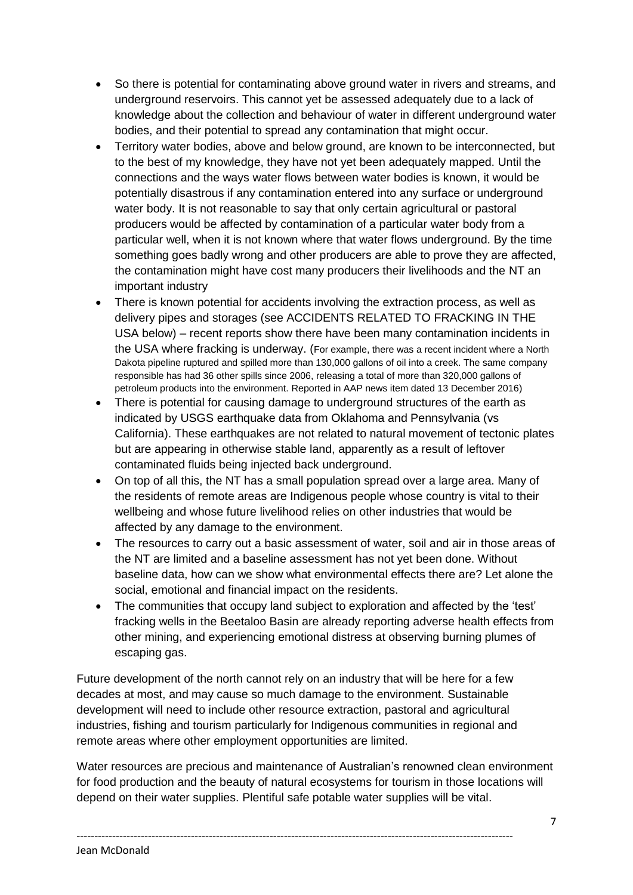- So there is potential for contaminating above ground water in rivers and streams, and underground reservoirs. This cannot yet be assessed adequately due to a lack of knowledge about the collection and behaviour of water in different underground water bodies, and their potential to spread any contamination that might occur.
- Territory water bodies, above and below ground, are known to be interconnected, but to the best of my knowledge, they have not yet been adequately mapped. Until the connections and the ways water flows between water bodies is known, it would be potentially disastrous if any contamination entered into any surface or underground water body. It is not reasonable to say that only certain agricultural or pastoral producers would be affected by contamination of a particular water body from a particular well, when it is not known where that water flows underground. By the time something goes badly wrong and other producers are able to prove they are affected, the contamination might have cost many producers their livelihoods and the NT an important industry
- There is known potential for accidents involving the extraction process, as well as delivery pipes and storages (see ACCIDENTS RELATED TO FRACKING IN THE USA below) – recent reports show there have been many contamination incidents in the USA where fracking is underway. (For example, there was a recent incident where a North Dakota pipeline ruptured and spilled more than 130,000 gallons of oil into a creek. The same company responsible has had 36 other spills since 2006, releasing a total of more than 320,000 gallons of petroleum products into the environment. Reported in AAP news item dated 13 December 2016)
- There is potential for causing damage to underground structures of the earth as indicated by USGS earthquake data from Oklahoma and Pennsylvania (vs California). These earthquakes are not related to natural movement of tectonic plates but are appearing in otherwise stable land, apparently as a result of leftover contaminated fluids being injected back underground.
- On top of all this, the NT has a small population spread over a large area. Many of the residents of remote areas are Indigenous people whose country is vital to their wellbeing and whose future livelihood relies on other industries that would be affected by any damage to the environment.
- The resources to carry out a basic assessment of water, soil and air in those areas of the NT are limited and a baseline assessment has not yet been done. Without baseline data, how can we show what environmental effects there are? Let alone the social, emotional and financial impact on the residents.
- The communities that occupy land subject to exploration and affected by the 'test' fracking wells in the Beetaloo Basin are already reporting adverse health effects from other mining, and experiencing emotional distress at observing burning plumes of escaping gas.

Future development of the north cannot rely on an industry that will be here for a few decades at most, and may cause so much damage to the environment. Sustainable development will need to include other resource extraction, pastoral and agricultural industries, fishing and tourism particularly for Indigenous communities in regional and remote areas where other employment opportunities are limited.

--------------------------------------------------------------------------------------------------------------------------

Water resources are precious and maintenance of Australian's renowned clean environment for food production and the beauty of natural ecosystems for tourism in those locations will depend on their water supplies. Plentiful safe potable water supplies will be vital.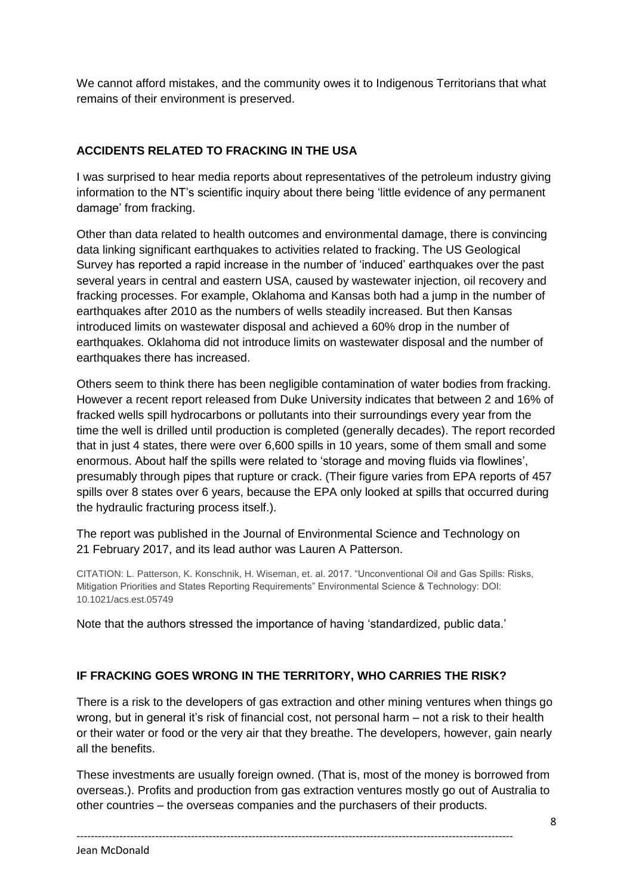We cannot afford mistakes, and the community owes it to Indigenous Territorians that what remains of their environment is preserved.

## **ACCIDENTS RELATED TO FRACKING IN THE USA**

I was surprised to hear media reports about representatives of the petroleum industry giving information to the NT's scientific inquiry about there being 'little evidence of any permanent damage' from fracking.

Other than data related to health outcomes and environmental damage, there is convincing data linking significant earthquakes to activities related to fracking. The US Geological Survey has reported a rapid increase in the number of 'induced' earthquakes over the past several years in central and eastern USA, caused by wastewater injection, oil recovery and fracking processes. For example, Oklahoma and Kansas both had a jump in the number of earthquakes after 2010 as the numbers of wells steadily increased. But then Kansas introduced limits on wastewater disposal and achieved a 60% drop in the number of earthquakes. Oklahoma did not introduce limits on wastewater disposal and the number of earthquakes there has increased.

Others seem to think there has been negligible contamination of water bodies from fracking. However a recent report released from Duke University indicates that between 2 and 16% of fracked wells spill hydrocarbons or pollutants into their surroundings every year from the time the well is drilled until production is completed (generally decades). The report recorded that in just 4 states, there were over 6,600 spills in 10 years, some of them small and some enormous. About half the spills were related to 'storage and moving fluids via flowlines', presumably through pipes that rupture or crack. (Their figure varies from EPA reports of 457 spills over 8 states over 6 years, because the EPA only looked at spills that occurred during the hydraulic fracturing process itself.).

The report was published in the Journal of Environmental Science and Technology on 21 February 2017, and its lead author was Lauren A Patterson.

CITATION: L. Patterson, K. Konschnik, H. Wiseman, et. al. 2017. "Unconventional Oil and Gas Spills: Risks, Mitigation Priorities and States Reporting Requirements" Environmental Science & Technology: DOI: 10.1021/acs.est.05749

Note that the authors stressed the importance of having 'standardized, public data.'

### **IF FRACKING GOES WRONG IN THE TERRITORY, WHO CARRIES THE RISK?**

There is a risk to the developers of gas extraction and other mining ventures when things go wrong, but in general it's risk of financial cost, not personal harm – not a risk to their health or their water or food or the very air that they breathe. The developers, however, gain nearly all the benefits.

These investments are usually foreign owned. (That is, most of the money is borrowed from overseas.). Profits and production from gas extraction ventures mostly go out of Australia to other countries – the overseas companies and the purchasers of their products.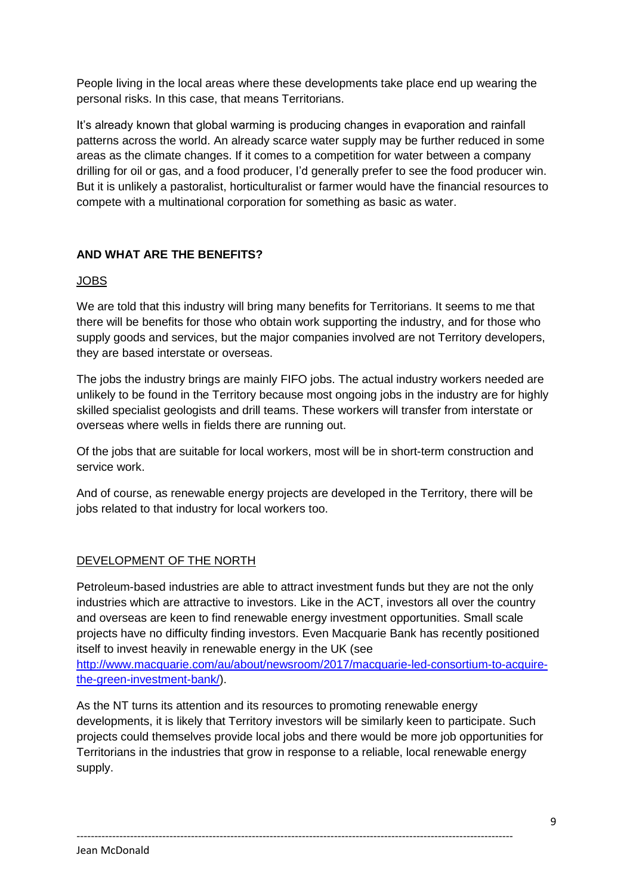People living in the local areas where these developments take place end up wearing the personal risks. In this case, that means Territorians.

It's already known that global warming is producing changes in evaporation and rainfall patterns across the world. An already scarce water supply may be further reduced in some areas as the climate changes. If it comes to a competition for water between a company drilling for oil or gas, and a food producer, I'd generally prefer to see the food producer win. But it is unlikely a pastoralist, horticulturalist or farmer would have the financial resources to compete with a multinational corporation for something as basic as water.

## **AND WHAT ARE THE BENEFITS?**

## JOBS

We are told that this industry will bring many benefits for Territorians. It seems to me that there will be benefits for those who obtain work supporting the industry, and for those who supply goods and services, but the major companies involved are not Territory developers, they are based interstate or overseas.

The jobs the industry brings are mainly FIFO jobs. The actual industry workers needed are unlikely to be found in the Territory because most ongoing jobs in the industry are for highly skilled specialist geologists and drill teams. These workers will transfer from interstate or overseas where wells in fields there are running out.

Of the jobs that are suitable for local workers, most will be in short-term construction and service work.

And of course, as renewable energy projects are developed in the Territory, there will be jobs related to that industry for local workers too.

### DEVELOPMENT OF THE NORTH

Petroleum-based industries are able to attract investment funds but they are not the only industries which are attractive to investors. Like in the ACT, investors all over the country and overseas are keen to find renewable energy investment opportunities. Small scale projects have no difficulty finding investors. Even Macquarie Bank has recently positioned itself to invest heavily in renewable energy in the UK (see

[http://www.macquarie.com/au/about/newsroom/2017/macquarie-led-consortium-to-acquire](http://www.macquarie.com/au/about/newsroom/2017/macquarie-led-consortium-to-acquire-the-green-investment-bank/)[the-green-investment-bank/\)](http://www.macquarie.com/au/about/newsroom/2017/macquarie-led-consortium-to-acquire-the-green-investment-bank/).

As the NT turns its attention and its resources to promoting renewable energy developments, it is likely that Territory investors will be similarly keen to participate. Such projects could themselves provide local jobs and there would be more job opportunities for Territorians in the industries that grow in response to a reliable, local renewable energy supply.